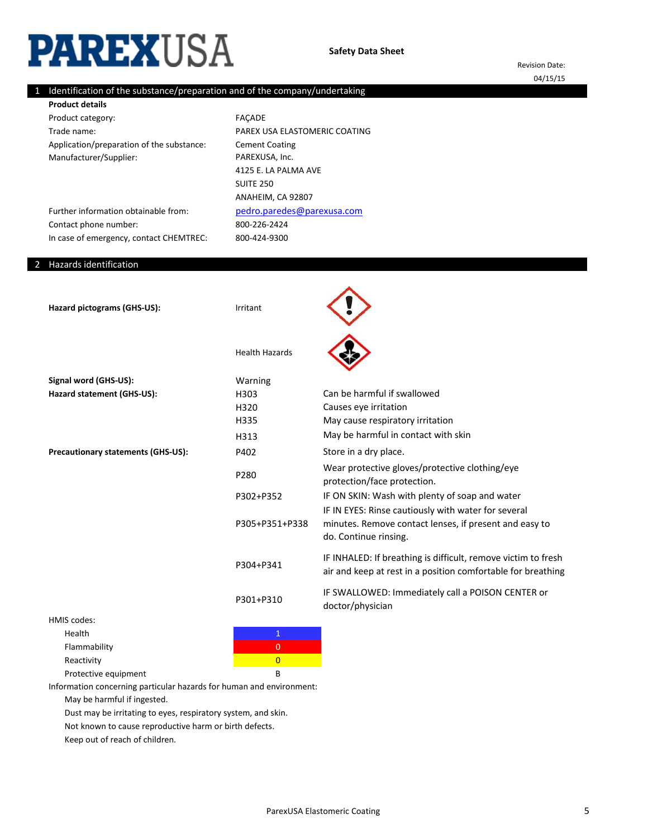# **PAREXUSA**

Revision Date: 04/15/15

## 1 Identification of the substance/preparation and of the company/undertaking

Product category: Trade name: Application/preparation of the substance: Manufacturer/Supplier: **Product details**

800-226-2424 800-424-9300 FAÇADE PAREX USA ELASTOMERIC COATING Cement Coating PAREXUSA, Inc. [pedro.paredes@pare](mailto:pedro.paredes@parexusa.com)xusa.com 4125 E. LA PALMA AVE SUITE 250 ANAHEIM, CA 92807

Further information obtainable from: Contact phone number: In case of emergency, contact CHEMTREC:

## 2 Hazards identification

| Hazard pictograms (GHS-US):               | Irritant              |                                                                                                                                        |
|-------------------------------------------|-----------------------|----------------------------------------------------------------------------------------------------------------------------------------|
|                                           | <b>Health Hazards</b> |                                                                                                                                        |
| Signal word (GHS-US):                     | Warning               |                                                                                                                                        |
| Hazard statement (GHS-US):                | H303                  | Can be harmful if swallowed                                                                                                            |
|                                           | H320                  | Causes eye irritation                                                                                                                  |
|                                           | H335                  | May cause respiratory irritation                                                                                                       |
|                                           | H313                  | May be harmful in contact with skin                                                                                                    |
| <b>Precautionary statements (GHS-US):</b> | P402                  | Store in a dry place.                                                                                                                  |
|                                           | P280                  | Wear protective gloves/protective clothing/eye<br>protection/face protection.                                                          |
|                                           | P302+P352             | IF ON SKIN: Wash with plenty of soap and water                                                                                         |
|                                           | P305+P351+P338        | IF IN EYES: Rinse cautiously with water for several<br>minutes. Remove contact lenses, if present and easy to<br>do. Continue rinsing. |
|                                           | P304+P341             | IF INHALED: If breathing is difficult, remove victim to fresh<br>air and keep at rest in a position comfortable for breathing          |
|                                           | P301+P310             | IF SWALLOWED: Immediately call a POISON CENTER or<br>doctor/physician                                                                  |
| HMIS codes:                               |                       |                                                                                                                                        |
| Health                                    | $\mathbf{1}$          |                                                                                                                                        |
| Flammability                              | $\overline{0}$        |                                                                                                                                        |

Protective equipment B Information concerning particular hazards for human and environment:

Reactivity **Contains the Containing Containing Containing Containing Containing Containing Containing Containing** 

May be harmful if ingested.

Dust may be irritating to eyes, respiratory system, and skin.

Not known to cause reproductive harm or birth defects.

Keep out of reach of children.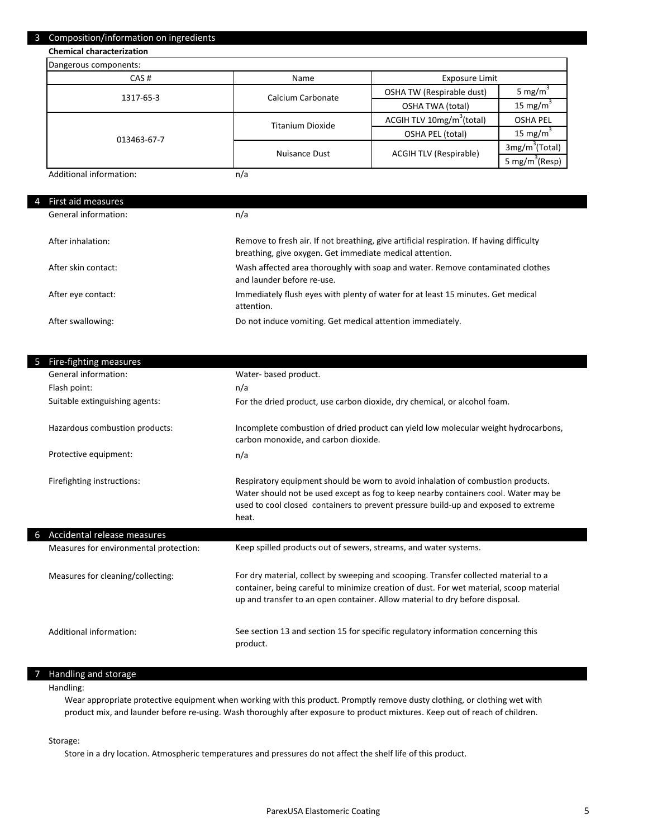#### 3 Composition/information on ingredients

**Chemical characterization**

| Dangerous components:   |                   |                                       |                            |
|-------------------------|-------------------|---------------------------------------|----------------------------|
| CAS#                    | Name              | Exposure Limit                        |                            |
| 1317-65-3               | Calcium Carbonate | OSHA TW (Respirable dust)             | 5 mg/m <sup>3</sup>        |
|                         |                   | <b>OSHA TWA (total)</b>               | 15 mg/m $3$                |
|                         | Titanium Dioxide  | ACGIH TLV 10mg/m <sup>3</sup> (total) | <b>OSHA PEL</b>            |
| 013463-67-7             |                   | OSHA PEL (total)                      | 15 mg/m <sup>3</sup>       |
|                         | Nuisance Dust     | <b>ACGIH TLV (Respirable)</b>         | 3mg/m <sup>3</sup> (Total) |
|                         |                   |                                       | 5 mg/m <sup>3</sup> (Resp) |
| Additional information: | n/a               |                                       |                            |

Additional information:

| 4 | First aid measures   |                                                                                                                                                      |
|---|----------------------|------------------------------------------------------------------------------------------------------------------------------------------------------|
|   | General information: | n/a                                                                                                                                                  |
|   | After inhalation:    | Remove to fresh air. If not breathing, give artificial respiration. If having difficulty<br>breathing, give oxygen. Get immediate medical attention. |
|   | After skin contact:  | Wash affected area thoroughly with soap and water. Remove contaminated clothes<br>and launder before re-use.                                         |
|   | After eye contact:   | Immediately flush eyes with plenty of water for at least 15 minutes. Get medical<br>attention.                                                       |
|   | After swallowing:    | Do not induce vomiting. Get medical attention immediately.                                                                                           |

| Fire-fighting measures                 |                                                                                                                                                                                                                                                                        |
|----------------------------------------|------------------------------------------------------------------------------------------------------------------------------------------------------------------------------------------------------------------------------------------------------------------------|
| General information:                   | Water- based product.                                                                                                                                                                                                                                                  |
| Flash point:                           | n/a                                                                                                                                                                                                                                                                    |
| Suitable extinguishing agents:         | For the dried product, use carbon dioxide, dry chemical, or alcohol foam.                                                                                                                                                                                              |
| Hazardous combustion products:         | Incomplete combustion of dried product can yield low molecular weight hydrocarbons,<br>carbon monoxide, and carbon dioxide.                                                                                                                                            |
| Protective equipment:                  | n/a                                                                                                                                                                                                                                                                    |
| Firefighting instructions:             | Respiratory equipment should be worn to avoid inhalation of combustion products.<br>Water should not be used except as fog to keep nearby containers cool. Water may be<br>used to cool closed containers to prevent pressure build-up and exposed to extreme<br>heat. |
| Accidental release measures            |                                                                                                                                                                                                                                                                        |
| Measures for environmental protection: | Keep spilled products out of sewers, streams, and water systems.                                                                                                                                                                                                       |
| Measures for cleaning/collecting:      | For dry material, collect by sweeping and scooping. Transfer collected material to a<br>container, being careful to minimize creation of dust. For wet material, scoop material<br>up and transfer to an open container. Allow material to dry before disposal.        |
| Additional information:                | See section 13 and section 15 for specific regulatory information concerning this<br>product.                                                                                                                                                                          |

#### 7 Handling and storage

Handling:

Wear appropriate protective equipment when working with this product. Promptly remove dusty clothing, or clothing wet with product mix, and launder before re-using. Wash thoroughly after exposure to product mixtures. Keep out of reach of children.

Storage:

Store in a dry location. Atmospheric temperatures and pressures do not affect the shelf life of this product.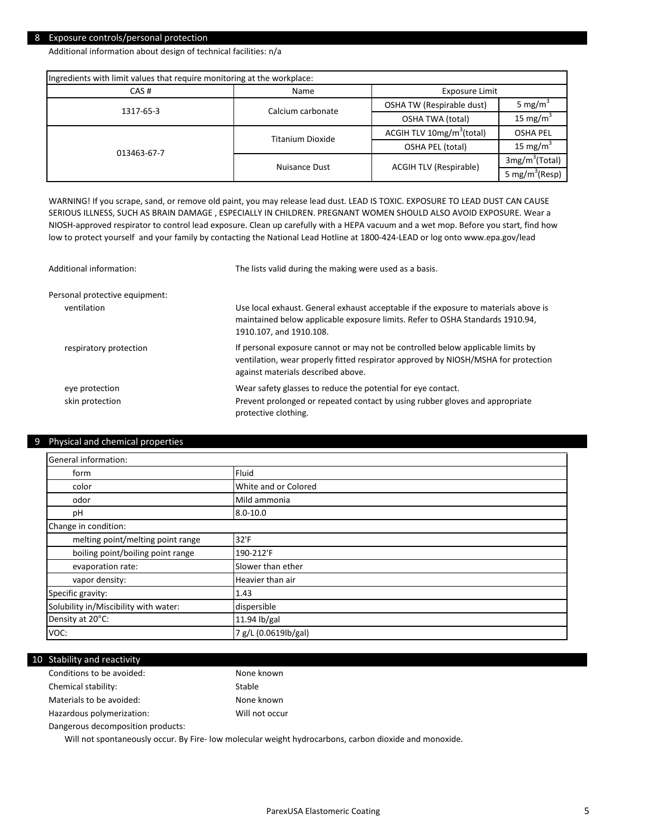#### 8 Exposure controls/personal protection

Additional information about design of technical facilities: n/a

| Ingredients with limit values that require monitoring at the workplace: |                         |                                       |                            |
|-------------------------------------------------------------------------|-------------------------|---------------------------------------|----------------------------|
| CAS#                                                                    | Name<br>Exposure Limit  |                                       |                            |
| 1317-65-3                                                               | Calcium carbonate       | OSHA TW (Respirable dust)             | 5 mg/m <sup>3</sup>        |
|                                                                         |                         | OSHA TWA (total)                      | 15 mg/m <sup>3</sup>       |
|                                                                         | <b>Titanium Dioxide</b> | ACGIH TLV 10mg/m <sup>3</sup> (total) | <b>OSHA PEL</b>            |
| 013463-67-7                                                             |                         | OSHA PEL (total)                      | 15 mg/m <sup>3</sup>       |
|                                                                         | Nuisance Dust           | <b>ACGIH TLV (Respirable)</b>         | 3mg/m <sup>3</sup> (Total) |
|                                                                         |                         |                                       | 5 mg/m <sup>3</sup> (Resp) |

WARNING! If you scrape, sand, or remove old paint, you may release lead dust. LEAD IS TOXIC. EXPOSURE TO LEAD DUST CAN CAUSE SERIOUS ILLNESS, SUCH AS BRAIN DAMAGE , ESPECIALLY IN CHILDREN. PREGNANT WOMEN SHOULD ALSO AVOID EXPOSURE. Wear a NIOSH-approved respirator to control lead exposure. Clean up carefully with a HEPA vacuum and a wet mop. Before you start, find how low to protect yourself and your family by contacting the National Lead Hotline at 1800-424-LEAD or log onto www.epa.gov/lead

| Additional information:           | The lists valid during the making were used as a basis.                                                                                                                                                     |
|-----------------------------------|-------------------------------------------------------------------------------------------------------------------------------------------------------------------------------------------------------------|
| Personal protective equipment:    |                                                                                                                                                                                                             |
| ventilation                       | Use local exhaust. General exhaust acceptable if the exposure to materials above is<br>maintained below applicable exposure limits. Refer to OSHA Standards 1910.94,<br>1910.107, and 1910.108.             |
| respiratory protection            | If personal exposure cannot or may not be controlled below applicable limits by<br>ventilation, wear properly fitted respirator approved by NIOSH/MSHA for protection<br>against materials described above. |
| eye protection<br>skin protection | Wear safety glasses to reduce the potential for eye contact.<br>Prevent prolonged or repeated contact by using rubber gloves and appropriate<br>protective clothing.                                        |

#### 9 Physical and chemical properties

| General information:                  |                      |  |
|---------------------------------------|----------------------|--|
| form                                  | Fluid                |  |
| color                                 | White and or Colored |  |
| odor                                  | Mild ammonia         |  |
| pH                                    | $8.0 - 10.0$         |  |
| Change in condition:                  |                      |  |
| melting point/melting point range     | 32'F                 |  |
| boiling point/boiling point range     | 190-212'F            |  |
| evaporation rate:                     | Slower than ether    |  |
| vapor density:                        | Heavier than air     |  |
| Specific gravity:                     | 1.43                 |  |
| Solubility in/Miscibility with water: | dispersible          |  |
| Density at 20°C:                      | 11.94 lb/gal         |  |
| VOC:                                  | 7 g/L (0.0619lb/gal) |  |

#### 10 Stability and reactivity

| Conditions to be avoided:         | None known     |
|-----------------------------------|----------------|
| Chemical stability:               | Stable         |
| Materials to be avoided:          | None known     |
| Hazardous polymerization:         | Will not occur |
| Dangerous decomposition products: |                |

Will not spontaneously occur. By Fire- low molecular weight hydrocarbons, carbon dioxide and monoxide.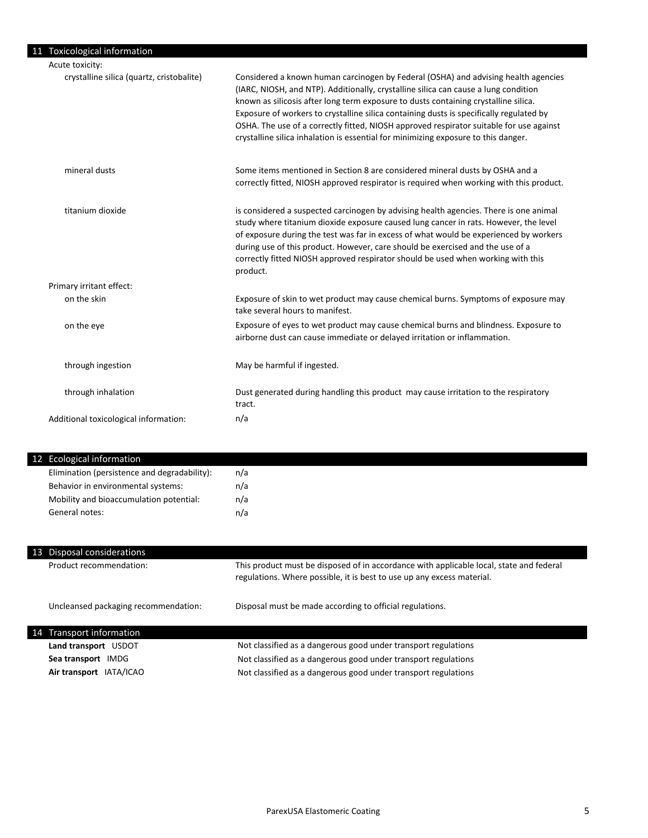### 11 Toxicological information

| Acute toxicity:                           |                                                                                                                                                                                                                                                                                                                                                                                                                                                                                                                                              |
|-------------------------------------------|----------------------------------------------------------------------------------------------------------------------------------------------------------------------------------------------------------------------------------------------------------------------------------------------------------------------------------------------------------------------------------------------------------------------------------------------------------------------------------------------------------------------------------------------|
| crystalline silica (quartz, cristobalite) | Considered a known human carcinogen by Federal (OSHA) and advising health agencies<br>(IARC, NIOSH, and NTP). Additionally, crystalline silica can cause a lung condition<br>known as silicosis after long term exposure to dusts containing crystalline silica.<br>Exposure of workers to crystalline silica containing dusts is specifically regulated by<br>OSHA. The use of a correctly fitted, NIOSH approved respirator suitable for use against<br>crystalline silica inhalation is essential for minimizing exposure to this danger. |
| mineral dusts                             | Some items mentioned in Section 8 are considered mineral dusts by OSHA and a<br>correctly fitted, NIOSH approved respirator is required when working with this product.                                                                                                                                                                                                                                                                                                                                                                      |
| titanium dioxide                          | is considered a suspected carcinogen by advising health agencies. There is one animal<br>study where titanium dioxide exposure caused lung cancer in rats. However, the level<br>of exposure during the test was far in excess of what would be experienced by workers<br>during use of this product. However, care should be exercised and the use of a<br>correctly fitted NIOSH approved respirator should be used when working with this<br>product.                                                                                     |
| Primary irritant effect:                  |                                                                                                                                                                                                                                                                                                                                                                                                                                                                                                                                              |
| on the skin                               | Exposure of skin to wet product may cause chemical burns. Symptoms of exposure may<br>take several hours to manifest.                                                                                                                                                                                                                                                                                                                                                                                                                        |
| on the eye                                | Exposure of eyes to wet product may cause chemical burns and blindness. Exposure to<br>airborne dust can cause immediate or delayed irritation or inflammation.                                                                                                                                                                                                                                                                                                                                                                              |
| through ingestion                         | May be harmful if ingested.                                                                                                                                                                                                                                                                                                                                                                                                                                                                                                                  |
| through inhalation                        | Dust generated during handling this product may cause irritation to the respiratory<br>tract.                                                                                                                                                                                                                                                                                                                                                                                                                                                |
| Additional toxicological information:     | n/a                                                                                                                                                                                                                                                                                                                                                                                                                                                                                                                                          |

## 12 Ecological information

| Elimination (persistence and degradability): | n/a |
|----------------------------------------------|-----|
| Behavior in environmental systems:           | n/a |
| Mobility and bioaccumulation potential:      | n/a |
| General notes:                               | n/a |

| 13 | Disposal considerations              |                                                                                                                                                                   |
|----|--------------------------------------|-------------------------------------------------------------------------------------------------------------------------------------------------------------------|
|    | Product recommendation:              | This product must be disposed of in accordance with applicable local, state and federal<br>regulations. Where possible, it is best to use up any excess material. |
|    | Uncleansed packaging recommendation: | Disposal must be made according to official regulations.                                                                                                          |
|    | 14 Transport information             |                                                                                                                                                                   |
|    | Land transport USDOT                 | Not classified as a dangerous good under transport regulations                                                                                                    |
|    | Sea transport IMDG                   | Not classified as a dangerous good under transport regulations                                                                                                    |
|    | Air transport IATA/ICAO              | Not classified as a dangerous good under transport regulations                                                                                                    |